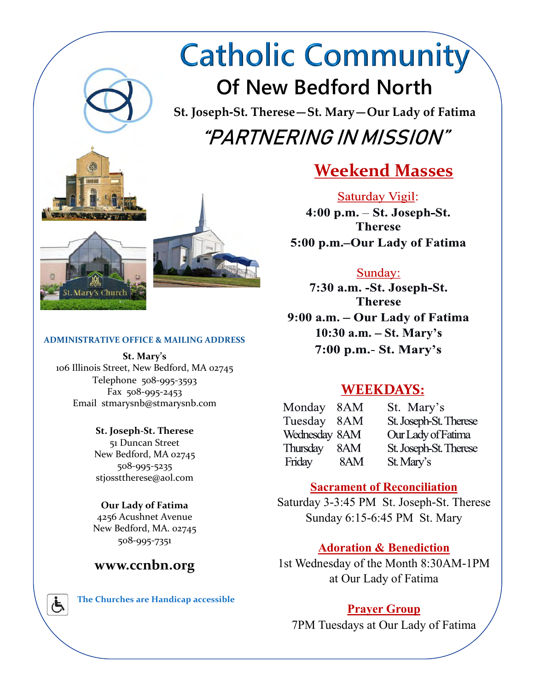# **Catholic Community Of New Bedford North**

**St. Joseph-St. Therese—St. Mary—Our Lady of Fatima** "PARTNERING IN MISSION"





#### **ADMINISTRATIVE OFFICE & MAILING ADDRESS**

**St. Mary's** 106 Illinois Street, New Bedford, MA 02745 Telephone 508-995-3593 Fax 508-995-2453 Email stmarysnb@stmarysnb.com

> **St. Joseph-St. Therese** 51 Duncan Street New Bedford, MA 02745 508-995-5235 stjossttherese@aol.com

#### **Our Lady of Fatima**

4256 Acushnet Avenue New Bedford, MA. 02745 508-995-7351

## **www.ccnbn.org**



 **The Churches are Handicap accessible**

# **Weekend Masses**

**Saturday Vigil:** 4:00 p.m. - St. Joseph-St. **Therese** 5:00 p.m.–Our Lady of Fatima

#### Sunday:

7:30 a.m. - St. Joseph-St. **Therese** 9:00 a.m. - Our Lady of Fatima  $10:30$  a.m.  $-$  St. Mary's  $7:00$  p.m.- St. Mary's

## **WEEKDAYS:**

8AM Monday St. Mary's Tuesday 8AM St. Joseph-St. Therese Wednesday 8AM Our Lady of Fatima Thursday 8AM St. Joseph-St. Therese Friday 8AM St. Mary's

## **Sacrament of Reconciliation**

Saturday 3-3:45 PM St. Joseph-St. Therese Sunday 6:15-6:45 PM St. Mary

## **Adoration & Benediction**

1st Wednesday of the Month 8:30AM-1PM at Our Lady of Fatima

## **Prayer Group**

7PM Tuesdays at Our Lady of Fatima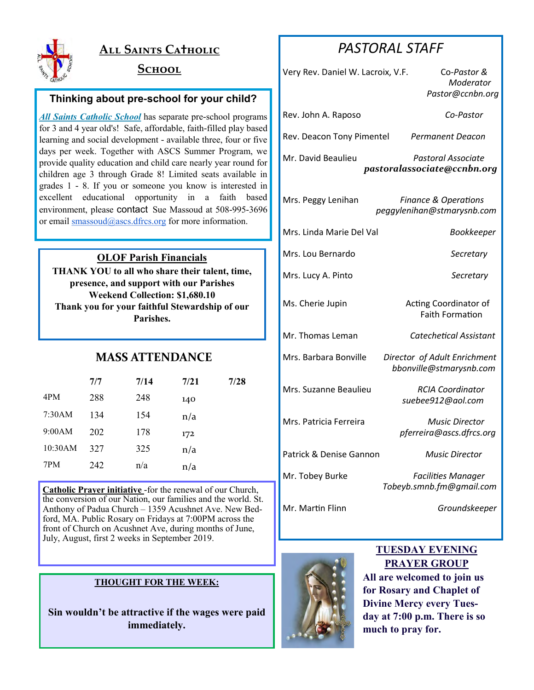

## **All Saints Ca†holic**

### **School**

#### **Thinking about pre-school for your child?**

*All Saints Catholic School* has separate pre-school programs for 3 and 4 year old's! Safe, affordable, faith-filled play based learning and social development - available three, four or five days per week. Together with ASCS Summer Program, we provide quality education and child care nearly year round for children age 3 through Grade 8! Limited seats available in grades 1 - 8. If you or someone you know is interested in excellent educational opportunity in a faith based environment, please contact Sue Massoud at 508-995-3696 or email [smassoud@ascs.dfrcs.org](mailto:smassoud@ascs.dfrcs.org) for more information.

#### **OLOF Parish Financials**

**THANK YOU to all who share their talent, time, presence, and support with our Parishes Weekend Collection: \$1,680.10 Thank you for your faithful Stewardship of our Parishes.** 

## **MASS ATTENDANCE**

|         | 7/7 | 7/14 | 7/21 | 7/28 |
|---------|-----|------|------|------|
| 4PM     | 288 | 248  | 140  |      |
| 7:30AM  | 134 | 154  | n/a  |      |
| 9:00AM  | 202 | 178  | 172  |      |
| 10:30AM | 327 | 325  | n/a  |      |
| 7PM     | 242 | n/a  | n/a  |      |

**Catholic Prayer initiative** -for the renewal of our Church, the conversion of our Nation, our families and the world. St. Anthony of Padua Church – 1359 Acushnet Ave. New Bedford, MA. Public Rosary on Fridays at 7:00PM across the front of Church on Acushnet Ave, during months of June, July, August, first 2 weeks in September 2019.

#### **THOUGHT FOR THE WEEK:**

**Sin wouldn't be attractive if the wages were paid immediately.**

## *PASTORAL STAFF*

| Very Rev. Daniel W. Lacroix, V.F. | Co-Pastor &<br>Moderator<br>Pastor@ccnbn.org                  |
|-----------------------------------|---------------------------------------------------------------|
| Rev. John A. Raposo               | Co-Pastor                                                     |
| Rev. Deacon Tony Pimentel         | <b>Permanent Deacon</b>                                       |
| Mr. David Beaulieu                | Pastoral Associate<br>pastoralassociate@ccnbn.org             |
| Mrs. Peggy Lenihan                | <b>Finance &amp; Operations</b><br>peggylenihan@stmarysnb.com |
| Mrs. Linda Marie Del Val          | Bookkeeper                                                    |
| Mrs. Lou Bernardo                 | Secretary                                                     |
| Mrs. Lucy A. Pinto                | Secretary                                                     |
| Ms. Cherie Jupin                  | Acting Coordinator of<br><b>Faith Formation</b>               |
| Mr. Thomas Leman                  | Catechetical Assistant                                        |
| Mrs. Barbara Bonville             | Director of Adult Enrichment<br>bbonville@stmarysnb.com       |
| Mrs. Suzanne Beaulieu             | <b>RCIA Coordinator</b><br>suebee912@aol.com                  |
| Mrs. Patricia Ferreira            | <b>Music Director</b><br>pferreira@ascs.dfrcs.org             |
| Patrick & Denise Gannon           | Music Director                                                |
| Mr. Tobey Burke                   | <b>Facilities Manager</b><br>Tobeyb.smnb.fm@gmail.com         |
| Mr. Martin Flinn                  | Groundskeeper                                                 |



#### **TUESDAY EVENING PRAYER GROUP**

**All are welcomed to join us for Rosary and Chaplet of Divine Mercy every Tuesday at 7:00 p.m. There is so much to pray for.**